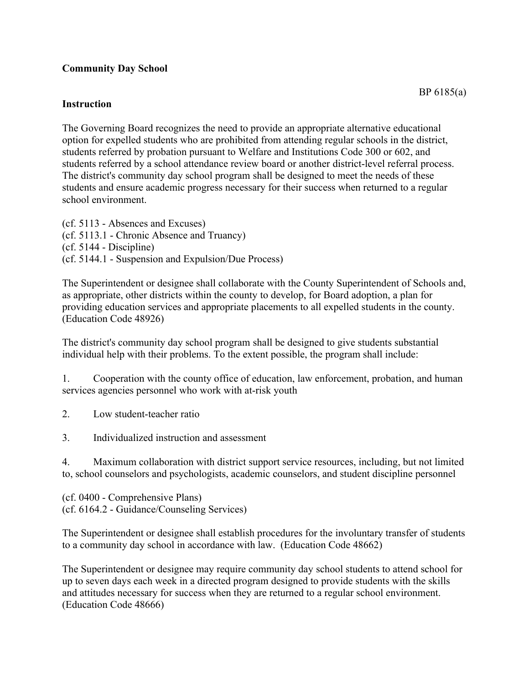## **Community Day School**

## **Instruction**

The Governing Board recognizes the need to provide an appropriate alternative educational option for expelled students who are prohibited from attending regular schools in the district, students referred by probation pursuant to Welfare and Institutions Code 300 or 602, and students referred by a school attendance review board or another district-level referral process. The district's community day school program shall be designed to meet the needs of these students and ensure academic progress necessary for their success when returned to a regular school environment.

(cf. 5113 - Absences and Excuses) (cf. 5113.1 - Chronic Absence and Truancy) (cf. 5144 - Discipline) (cf. 5144.1 - Suspension and Expulsion/Due Process)

The Superintendent or designee shall collaborate with the County Superintendent of Schools and, as appropriate, other districts within the county to develop, for Board adoption, a plan for providing education services and appropriate placements to all expelled students in the county. (Education Code 48926)

The district's community day school program shall be designed to give students substantial individual help with their problems. To the extent possible, the program shall include:

1. Cooperation with the county office of education, law enforcement, probation, and human services agencies personnel who work with at-risk youth

2. Low student-teacher ratio

3. Individualized instruction and assessment

4. Maximum collaboration with district support service resources, including, but not limited to, school counselors and psychologists, academic counselors, and student discipline personnel

(cf. 0400 - Comprehensive Plans) (cf. 6164.2 - Guidance/Counseling Services)

The Superintendent or designee shall establish procedures for the involuntary transfer of students to a community day school in accordance with law. (Education Code 48662)

The Superintendent or designee may require community day school students to attend school for up to seven days each week in a directed program designed to provide students with the skills and attitudes necessary for success when they are returned to a regular school environment. (Education Code 48666)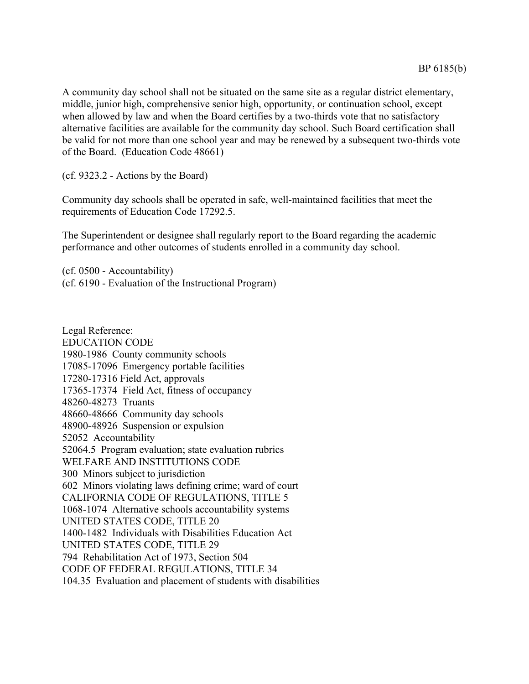A community day school shall not be situated on the same site as a regular district elementary, middle, junior high, comprehensive senior high, opportunity, or continuation school, except when allowed by law and when the Board certifies by a two-thirds vote that no satisfactory alternative facilities are available for the community day school. Such Board certification shall be valid for not more than one school year and may be renewed by a subsequent two-thirds vote of the Board. (Education Code 48661)

(cf. 9323.2 - Actions by the Board)

Community day schools shall be operated in safe, well-maintained facilities that meet the requirements of Education Code 17292.5.

The Superintendent or designee shall regularly report to the Board regarding the academic performance and other outcomes of students enrolled in a community day school.

(cf. 0500 - Accountability) (cf. 6190 - Evaluation of the Instructional Program)

Legal Reference: EDUCATION CODE 1980-1986 County community schools 17085-17096 Emergency portable facilities 17280-17316 Field Act, approvals 17365-17374 Field Act, fitness of occupancy 48260-48273 Truants 48660-48666 Community day schools 48900-48926 Suspension or expulsion 52052 Accountability 52064.5 Program evaluation; state evaluation rubrics WELFARE AND INSTITUTIONS CODE 300 Minors subject to jurisdiction 602 Minors violating laws defining crime; ward of court CALIFORNIA CODE OF REGULATIONS, TITLE 5 1068-1074 Alternative schools accountability systems UNITED STATES CODE, TITLE 20 1400-1482 Individuals with Disabilities Education Act UNITED STATES CODE, TITLE 29 794 Rehabilitation Act of 1973, Section 504 CODE OF FEDERAL REGULATIONS, TITLE 34 104.35 Evaluation and placement of students with disabilities